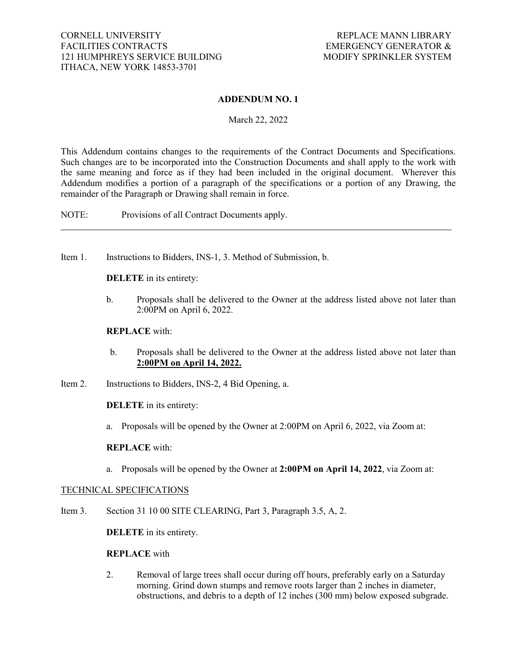## **ADDENDUM NO. 1**

March 22, 2022

This Addendum contains changes to the requirements of the Contract Documents and Specifications. Such changes are to be incorporated into the Construction Documents and shall apply to the work with the same meaning and force as if they had been included in the original document. Wherever this Addendum modifies a portion of a paragraph of the specifications or a portion of any Drawing, the remainder of the Paragraph or Drawing shall remain in force.

NOTE: Provisions of all Contract Documents apply.

Item 1. Instructions to Bidders, INS-1, 3. Method of Submission, b.

**DELETE** in its entirety:

b. Proposals shall be delivered to the Owner at the address listed above not later than 2:00PM on April 6, 2022.

### **REPLACE** with:

- b. Proposals shall be delivered to the Owner at the address listed above not later than **2:00PM on April 14, 2022.**
- Item 2. Instructions to Bidders, INS-2, 4 Bid Opening, a.

**DELETE** in its entirety:

a. Proposals will be opened by the Owner at 2:00PM on April 6, 2022, via Zoom at:

### **REPLACE** with:

a. Proposals will be opened by the Owner at **2:00PM on April 14, 2022**, via Zoom at:

## TECHNICAL SPECIFICATIONS

Item 3. Section 31 10 00 SITE CLEARING, Part 3, Paragraph 3.5, A, 2.

**DELETE** in its entirety.

#### **REPLACE** with

2. Removal of large trees shall occur during off hours, preferably early on a Saturday morning. Grind down stumps and remove roots larger than 2 inches in diameter, obstructions, and debris to a depth of 12 inches (300 mm) below exposed subgrade.